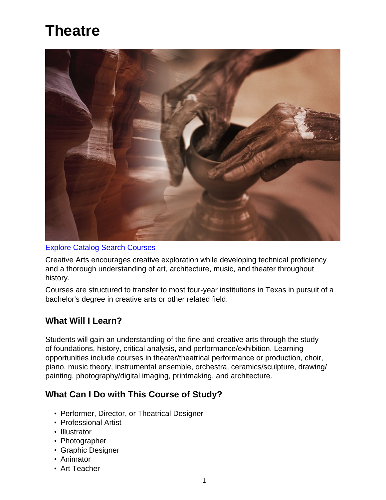# **Theatre**



#### [Explore Catalog](http://catalog.lee.edu/search_advanced.php?cur_cat_oid=27&ecpage=1&cpage=1&ppage=1&pcpage=1&spage=1&tpage=1&search_database=Search&filter%5Bkeyword%5D=%22Creative+Arts%22&filter%5B31%5D=1&filter%5B1%5D=1) [Search Courses](https://www.lee.edu/go/class-schedule/index.php)

Creative Arts encourages creative exploration while developing technical proficiency and a thorough understanding of art, architecture, music, and theater throughout history.

Courses are structured to transfer to most four-year institutions in Texas in pursuit of a bachelor's degree in creative arts or other related field.

# **What Will I Learn?**

Students will gain an understanding of the fine and creative arts through the study of foundations, history, critical analysis, and performance/exhibition. Learning opportunities include courses in theater/theatrical performance or production, choir, piano, music theory, instrumental ensemble, orchestra, ceramics/sculpture, drawing/ painting, photography/digital imaging, printmaking, and architecture.

# **What Can I Do with This Course of Study?**

- Performer, Director, or Theatrical Designer
- Professional Artist
- Illustrator
- Photographer
- Graphic Designer
- Animator
- Art Teacher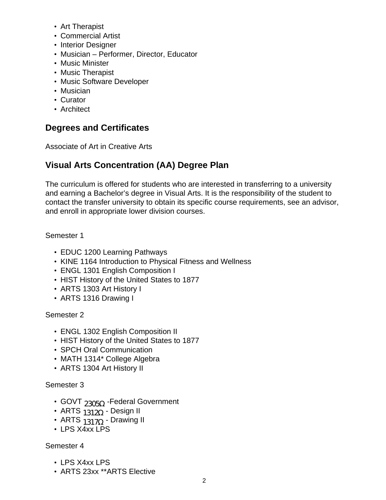- Art Therapist
- Commercial Artist
- Interior Designer
- Musician Performer, Director, Educator
- Music Minister
- Music Therapist
- Music Software Developer
- Musician
- Curator
- Architect

# **Degrees and Certificates**

Associate of Art in Creative Arts

# **Visual Arts Concentration (AA) Degree Plan**

The curriculum is offered for students who are interested in transferring to a university and earning a Bachelor's degree in Visual Arts. It is the responsibility of the student to contact the transfer university to obtain its specific course requirements, see an advisor, and enroll in appropriate lower division courses.

Semester 1

- EDUC 1200 Learning Pathways
- KINE 1164 Introduction to Physical Fitness and Wellness
- ENGL 1301 English Composition I
- HIST History of the United States to 1877
- ARTS 1303 Art History I
- ARTS 1316 Drawing I

Semester 2

- ENGL 1302 English Composition II
- HIST History of the United States to 1877
- SPCH Oral Communication
- MATH 1314\* College Algebra
- ARTS 1304 Art History II

#### Semester 3

- GOVT  $_{2305\Omega}$  -Federal Government
- ARTS  $1312\Omega$  Design II
- ARTS  $1317Q -$  Drawing II
- LPS X4xx LPS

#### Semester 4

- LPS X4xx LPS
- ARTS 23xx \*\*ARTS Elective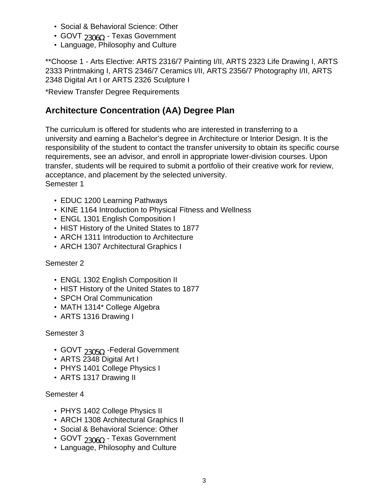- Social & Behavioral Science: Other
- GOVT  $_{2306\Omega}$  Texas Government
- Language, Philosophy and Culture

\*\*Choose 1 - Arts Elective: ARTS 2316/7 Painting I/II, ARTS 2323 Life Drawing I, ARTS 2333 Printmaking I, ARTS 2346/7 Ceramics I/II, ARTS 2356/7 Photography I/II, ARTS 2348 Digital Art I or ARTS 2326 Sculpture I

\*Review Transfer Degree Requirements

# **Architecture Concentration (AA) Degree Plan**

The curriculum is offered for students who are interested in transferring to a university and earning a Bachelor's degree in Architecture or Interior Design. It is the responsibility of the student to contact the transfer university to obtain its specific course requirements, see an advisor, and enroll in appropriate lower-division courses. Upon transfer, students will be required to submit a portfolio of their creative work for review, acceptance, and placement by the selected university. Semester 1

- EDUC 1200 Learning Pathways
- KINE 1164 Introduction to Physical Fitness and Wellness
- ENGL 1301 English Composition I
- HIST History of the United States to 1877
- ARCH 1311 Introduction to Architecture
- ARCH 1307 Architectural Graphics I

#### Semester 2

- ENGL 1302 English Composition II
- HIST History of the United States to 1877
- SPCH Oral Communication
- MATH 1314\* College Algebra
- ARTS 1316 Drawing I

#### Semester 3

- GOVT  $_{2305\Omega}$  -Federal Government
- ARTS 2348 Digital Art I
- PHYS 1401 College Physics I
- ARTS 1317 Drawing II

#### Semester 4

- PHYS 1402 College Physics II
- ARCH 1308 Architectural Graphics II
- Social & Behavioral Science: Other
- GOVT 2306O Texas Government
- Language, Philosophy and Culture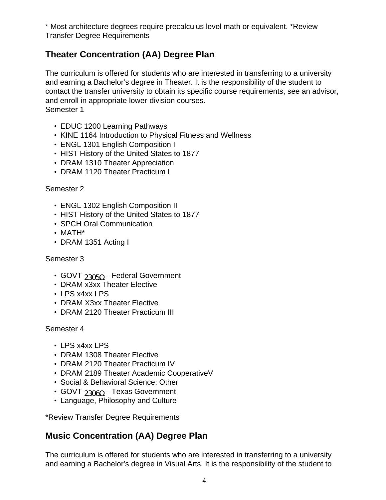\* Most architecture degrees require precalculus level math or equivalent. \*Review Transfer Degree Requirements

# **Theater Concentration (AA) Degree Plan**

The curriculum is offered for students who are interested in transferring to a university and earning a Bachelor's degree in Theater. It is the responsibility of the student to contact the transfer university to obtain its specific course requirements, see an advisor, and enroll in appropriate lower-division courses. Semester 1

- EDUC 1200 Learning Pathways
- KINE 1164 Introduction to Physical Fitness and Wellness
- ENGL 1301 English Composition I
- HIST History of the United States to 1877
- DRAM 1310 Theater Appreciation
- DRAM 1120 Theater Practicum I

#### Semester 2

- ENGL 1302 English Composition II
- HIST History of the United States to 1877
- SPCH Oral Communication
- MATH\*
- DRAM 1351 Acting I

#### Semester 3

- GOVT 2305Q Federal Government
- DRAM x3xx Theater Elective
- LPS x4xx LPS
- DRAM X3xx Theater Elective
- DRAM 2120 Theater Practicum III

#### Semester 4

- LPS x4xx LPS
- DRAM 1308 Theater Elective
- DRAM 2120 Theater Practicum IV
- DRAM 2189 Theater Academic CooperativeV
- Social & Behavioral Science: Other
- GOVT  $_{2306\Omega}$  Texas Government
- Language, Philosophy and Culture

\*Review Transfer Degree Requirements

# **Music Concentration (AA) Degree Plan**

The curriculum is offered for students who are interested in transferring to a university and earning a Bachelor's degree in Visual Arts. It is the responsibility of the student to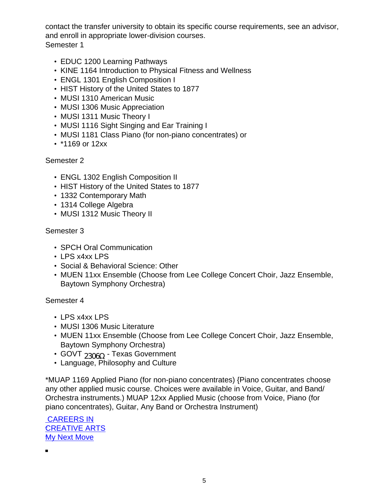contact the transfer university to obtain its specific course requirements, see an advisor, and enroll in appropriate lower-division courses. Semester 1

- EDUC 1200 Learning Pathways
- KINE 1164 Introduction to Physical Fitness and Wellness
- ENGL 1301 English Composition I
- HIST History of the United States to 1877
- MUSI 1310 American Music
- MUSI 1306 Music Appreciation
- MUSI 1311 Music Theory I
- MUSI 1116 Sight Singing and Ear Training I
- MUSI 1181 Class Piano (for non-piano concentrates) or
- \*1169 or 12xx

#### Semester 2

- ENGL 1302 English Composition II
- HIST History of the United States to 1877
- 1332 Contemporary Math
- 1314 College Algebra
- MUSI 1312 Music Theory II

#### Semester 3

- SPCH Oral Communication
- LPS x4xx LPS
- Social & Behavioral Science: Other
- MUEN 11xx Ensemble (Choose from Lee College Concert Choir, Jazz Ensemble, Baytown Symphony Orchestra)

#### Semester 4

- LPS x4xx LPS
- MUSI 1306 Music Literature
- MUEN 11xx Ensemble (Choose from Lee College Concert Choir, Jazz Ensemble, Baytown Symphony Orchestra)
- GOVT 2306O Texas Government
- Language, Philosophy and Culture

\*MUAP 1169 Applied Piano (for non-piano concentrates) {Piano concentrates choose any other applied music course. Choices were available in Voice, Guitar, and Band/ Orchestra instruments.) MUAP 12xx Applied Music (choose from Voice, Piano (for piano concentrates), Guitar, Any Band or Orchestra Instrument)

 [CAREERS IN](https://www.mynextmove.org/find/search?s=CREATIVE+ARTS) [CREATIVE ARTS](https://www.mynextmove.org/find/search?s=CREATIVE+ARTS) **[My Next Move](https://www.mynextmove.org/find/search?s=CREATIVE+ARTS)**